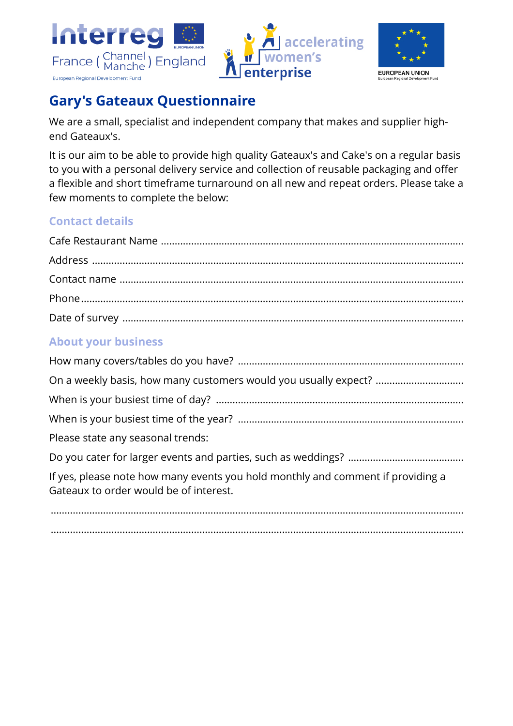





# **Gary's Gateaux Questionnaire**

We are a small, specialist and independent company that makes and supplier highend Gateaux's.

It is our aim to be able to provide high quality Gateaux's and Cake's on a regular basis to you with a personal delivery service and collection of reusable packaging and offer a flexible and short timeframe turnaround on all new and repeat orders. Please take a few moments to complete the below:

#### **Contact details**

### **About your business**

| Please state any seasonal trends:                                                                                         |
|---------------------------------------------------------------------------------------------------------------------------|
|                                                                                                                           |
| If yes, please note how many events you hold monthly and comment if providing a<br>Gateaux to order would be of interest. |
|                                                                                                                           |

......................................................................................................................................................